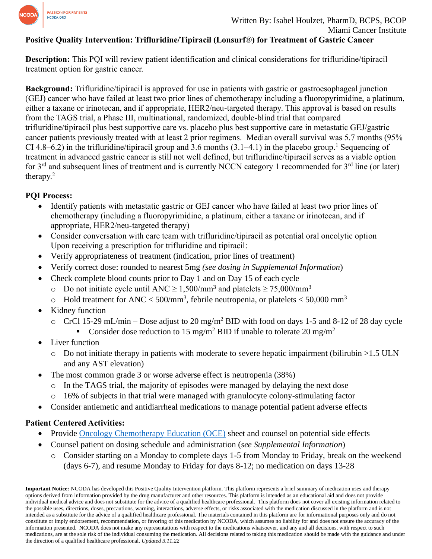

#### **Positive Quality Intervention: Trifluridine/Tipiracil (Lonsurf**®**) for Treatment of Gastric Cancer**

**Description:** This PQI will review patient identification and clinical considerations for trifluridine/tipiracil treatment option for gastric cancer.

**Background:** Trifluridine/tipiracil is approved for use in patients with gastric or gastroesophageal junction (GEJ) cancer who have failed at least two prior lines of chemotherapy including a fluoropyrimidine, a platinum, either a taxane or irinotecan, and if appropriate, HER2/neu-targeted therapy. This approval is based on results from the TAGS trial, a Phase III, multinational, randomized, double-blind trial that compared trifluridine/tipiracil plus best supportive care vs. placebo plus best supportive care in metastatic GEJ/gastric cancer patients previously treated with at least 2 prior regimens. Median overall survival was 5.7 months (95% CI 4.8–6.2) in the trifluridine/tipiracil group and 3.6 months (3.1–4.1) in the placebo group. <sup>1</sup> Sequencing of treatment in advanced gastric cancer is still not well defined, but trifluridine/tipiracil serves as a viable option for 3<sup>rd</sup> and subsequent lines of treatment and is currently NCCN category 1 recommended for 3<sup>rd</sup> line (or later) therapy.<sup>2</sup>

#### **PQI Process:**

- Identify patients with metastatic gastric or GEJ cancer who have failed at least two prior lines of chemotherapy (including a fluoropyrimidine, a platinum, either a taxane or irinotecan, and if appropriate, HER2/neu-targeted therapy)
- Consider conversation with care team with trifluridine/tipiracil as potential oral oncolytic option Upon receiving a prescription for trifluridine and tipiracil:
- Verify appropriateness of treatment (indication, prior lines of treatment)
- Verify correct dose: rounded to nearest 5mg *(see dosing in Supplemental Information*)
- Check complete blood counts prior to Day 1 and on Day 15 of each cycle
	- o Do not initiate cycle until ANC ≥ 1,500/mm<sup>3</sup> and platelets ≥ 75,000/mm<sup>3</sup>
	- $\circ$  Hold treatment for ANC < 500/mm<sup>3</sup>, febrile neutropenia, or platelets < 50,000 mm<sup>3</sup>
- Kidney function
	- $\circ$  CrCl 15-29 mL/min Dose adjust to 20 mg/m<sup>2</sup> BID with food on days 1-5 and 8-12 of 28 day cycle
		- Consider dose reduction to 15 mg/m<sup>2</sup> BID if unable to tolerate 20 mg/m<sup>2</sup>
- Liver function
	- $\circ$  Do not initiate therapy in patients with moderate to severe hepatic impairment (bilirubin  $>1.5$  ULN and any AST elevation)
- The most common grade 3 or worse adverse effect is neutropenia (38%)
	- $\circ$  In the TAGS trial, the majority of episodes were managed by delaying the next dose
	- o 16% of subjects in that trial were managed with granulocyte colony-stimulating factor
- Consider antiemetic and antidiarrheal medications to manage potential patient adverse effects

### **Patient Centered Activities:**

- Provide [Oncology Chemotherapy Education \(OCE\)](https://www.oralchemoedsheets.com/index.php/sheet-library/25-available/brand-name/75-lonsurf) sheet and counsel on potential side effects
- Counsel patient on dosing schedule and administration (*see Supplemental Information*)
	- o Consider starting on a Monday to complete days 1-5 from Monday to Friday, break on the weekend (days 6-7), and resume Monday to Friday for days 8-12; no medication on days 13-28

**Important Notice:** NCODA has developed this Positive Quality Intervention platform. This platform represents a brief summary of medication uses and therapy options derived from information provided by the drug manufacturer and other resources. This platform is intended as an educational aid and does not provide individual medical advice and does not substitute for the advice of a qualified healthcare professional. This platform does not cover all existing information related to the possible uses, directions, doses, precautions, warning, interactions, adverse effects, or risks associated with the medication discussed in the platform and is not intended as a substitute for the advice of a qualified healthcare professional. The materials contained in this platform are for informational purposes only and do not constitute or imply endorsement, recommendation, or favoring of this medication by NCODA, which assumes no liability for and does not ensure the accuracy of the information presented. NCODA does not make any representations with respect to the medications whatsoever, and any and all decisions, with respect to such medications, are at the sole risk of the individual consuming the medication. All decisions related to taking this medication should be made with the guidance and under the direction of a qualified healthcare professional. *Updated 3.11.22*